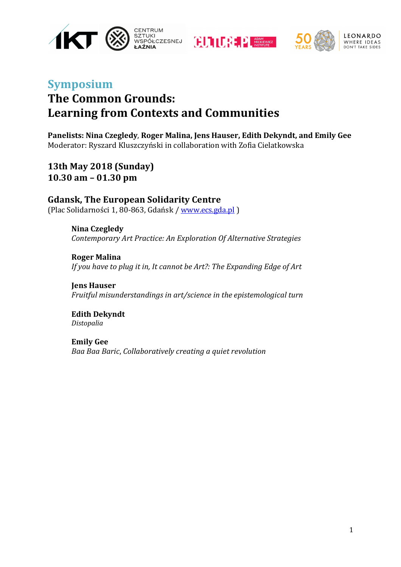





LEONARDO WHERE IDEAS

## **Symposium The Common Grounds:** Learning from Contexts and Communities

Panelists: Nina Czegledy, Roger Malina, Jens Hauser, Edith Dekyndt, and Emily Gee Moderator: Ryszard Kluszczyński in collaboration with Zofia Cielatkowska

**13th May 2018 (Sunday) 10.30 am – 01.30 pm**

**Gdansk, The European Solidarity Centre** (Plac Solidarności 1, 80-863, Gdańsk / www.ecs.gda.pl)

> **Nina Czegledy** *Contemporary Art Practice: An Exploration Of Alternative Strategies*

> **Roger Malina** *If you have to plug it in, It cannot be Art?: The Expanding Edge of Art*

> **Jens Hauser** *Fruitful misunderstandings in art/science in the epistemological turn*

**Edith Dekyndt** *Distopalia*

**Emily Gee** *Baa Baa Baric*, *Collaboratively creating a quiet revolution*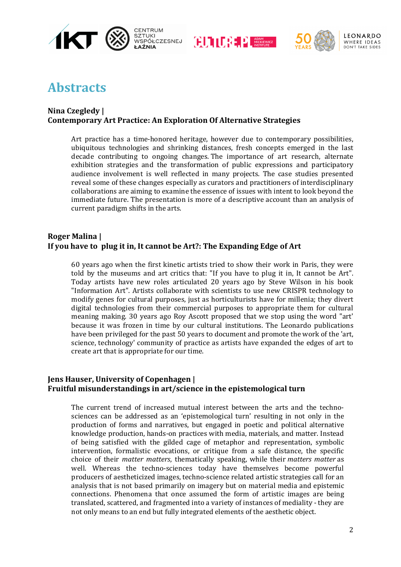







# **Abstracts**

#### **Nina Czegledy** | **Contemporary Art Practice: An Exploration Of Alternative Strategies**

Art practice has a time-honored heritage, however due to contemporary possibilities, ubiquitous technologies and shrinking distances, fresh concepts emerged in the last decade contributing to ongoing changes. The importance of art research, alternate exhibition strategies and the transformation of public expressions and participatory audience involvement is well reflected in many projects. The case studies presented reveal some of these changes especially as curators and practitioners of interdisciplinary collaborations are aiming to examine the essence of issues with intent to look beyond the immediate future. The presentation is more of a descriptive account than an analysis of current paradigm shifts in the arts.

#### **Roger Malina** | **If you have to plug it in, It cannot be Art?: The Expanding Edge of Art**

60 years ago when the first kinetic artists tried to show their work in Paris, they were told by the museums and art critics that: "If you have to plug it in, It cannot be Art". Today artists have new roles articulated 20 years ago by Steve Wilson in his book "Information Art". Artists collaborate with scientists to use new CRISPR technology to modify genes for cultural purposes, just as horticulturists have for millenia; they divert digital technologies from their commercial purposes to appropriate them for cultural meaning making. 30 years ago Roy Ascott proposed that we stop using the word "art' because it was frozen in time by our cultural institutions. The Leonardo publications have been privileged for the past 50 years to document and promote the work of the 'art, science, technology' community of practice as artists have expanded the edges of art to create art that is appropriate for our time.

#### **Jens Hauser, University of Copenhagen** | **Fruitful misunderstandings in art/science in the epistemological turn**

The current trend of increased mutual interest between the arts and the technosciences can be addressed as an 'epistemological turn' resulting in not only in the production of forms and narratives, but engaged in poetic and political alternative knowledge production, hands-on practices with media, materials, and matter. Instead of being satisfied with the gilded cage of metaphor and representation, symbolic intervention, formalistic evocations, or critique from a safe distance, the specific choice of their *matter matters*, thematically speaking, while their *matters matter* as well. Whereas the techno-sciences today have themselves become powerful producers of aestheticized images, techno-science related artistic strategies call for an analysis that is not based primarily on imagery but on material media and epistemic connections. Phenomena that once assumed the form of artistic images are being translated, scattered, and fragmented into a variety of instances of mediality - they are not only means to an end but fully integrated elements of the aesthetic object.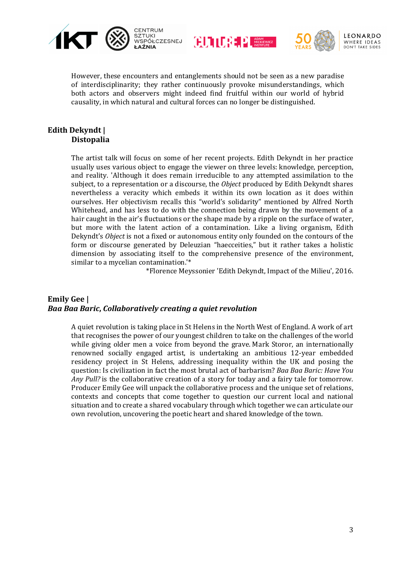







However, these encounters and entanglements should not be seen as a new paradise of interdisciplinarity; they rather continuously provoke misunderstandings, which both actors and observers might indeed find fruitful within our world of hybrid causality, in which natural and cultural forces can no longer be distinguished.

#### **Edith Dekyndt | Distopalia**

The artist talk will focus on some of her recent projects. Edith Dekyndt in her practice usually uses various object to engage the viewer on three levels: knowledge, perception, and reality. 'Although it does remain irreducible to any attempted assimilation to the subject, to a representation or a discourse, the *Object* produced by Edith Dekyndt shares nevertheless a veracity which embeds it within its own location as it does within ourselves. Her objectivism recalls this "world's solidarity" mentioned by Alfred North Whitehead, and has less to do with the connection being drawn by the movement of a hair caught in the air's fluctuations or the shape made by a ripple on the surface of water, but more with the latent action of a contamination. Like a living organism, Edith Dekyndt's *Object* is not a fixed or autonomous entity only founded on the contours of the form or discourse generated by Deleuzian "haecceities," but it rather takes a holistic dimension by associating itself to the comprehensive presence of the environment, similar to a mycelian contamination.<sup>'\*</sup>

\*Florence Meyssonier 'Edith Dekyndt, Impact of the Milieu', 2016.

#### **Emily Gee |** *Baa Baa Baric***,** *Collaboratively creating a quiet revolution*

A quiet revolution is taking place in St Helens in the North West of England. A work of art that recognises the power of our youngest children to take on the challenges of the world while giving older men a voice from beyond the grave. Mark Storor, an internationally renowned socially engaged artist, is undertaking an ambitious 12-year embedded residency project in St Helens, addressing inequality within the UK and posing the question: Is civilization in fact the most brutal act of barbarism? *Baa Baa Baric: Have You Any* Pull? is the collaborative creation of a story for today and a fairy tale for tomorrow. Producer Emily Gee will unpack the collaborative process and the unique set of relations, contexts and concepts that come together to question our current local and national situation and to create a shared vocabulary through which together we can articulate our own revolution, uncovering the poetic heart and shared knowledge of the town.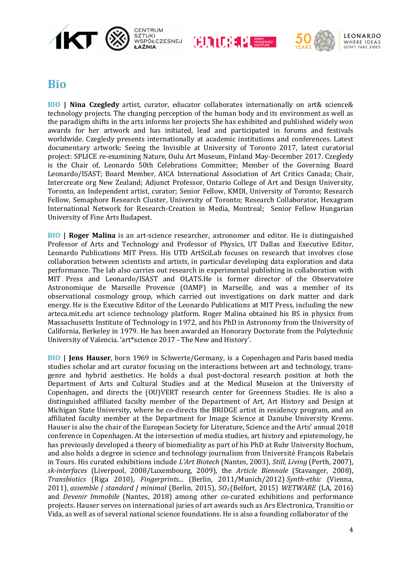







### **Bio**

**BIO |** Nina Czegledy artist, curator, educator collaborates internationally on art& science& technology projects. The changing perception of the human body and its environment as well as the paradigm shifts in the arts informs her projects She has exhibited and published widely won awards for her artwork and has initiated, lead and participated in forums and festivals worldwide. Czegledy presents internationally at academic institutions and conferences. Latest documentary artwork: Seeing the Invisible at University of Toronto 2017, latest curatorial project: SPLICE re-examining Nature, Oulu Art Museum, Finland May-December 2017. Czegledy is the Chair of, Leonardo 50th Celebrations Committee; Member of the Governing Board Leonardo/ISAST; Board Member, AICA International Association of Art Critics Canada; Chair, Intercreate org New Zealand; Adjunct Professor, Ontario College of Art and Design University, Toronto, an Independent artist, curator; Senior Fellow, KMDI, University of Toronto; Research Fellow, Semaphore Research Cluster, University of Toronto; Research Collaborator, Hexagram International Network for Research-Creation in Media, Montreal; Senior Fellow Hungarian University of Fine Arts Budapest.

**BIO | Roger Malina** is an art-science researcher, astronomer and editor. He is distinguished Professor of Arts and Technology and Professor of Physics, UT Dallas and Executive Editor, Leonardo Publications MIT Press. His UTD ArtSciLab focuses on research that involves close collaboration between scientists and artists, in particular developing data exploration and data performance. The lab also carries out research in experimental publishing in collaboration with MIT Press and Leonardo/ISAST and OLATS.He is former director of the Observatoire Astronomique de Marseille Provence (OAMP) in Marseille, and was a member of its observational cosmology group, which carried out investigations on dark matter and dark energy. He is the Executive Editor of the Leonardo Publications at MIT Press, including the new arteca.mit.edu art science technology platform. Roger Malina obtained his BS in physics from Massachusetts Institute of Technology in 1972, and his PhD in Astronomy from the University of California, Berkeley in 1979. He has been awarded an Honorary Doctorate from the Polytechnic University of Valencia. 'art\*science 2017 - The New and History'.

**BIO | Jens Hauser**, born 1969 in Schwerte/Germany, is a Copenhagen and Paris based media studies scholar and art curator focusing on the interactions between art and technology, transgenre and hybrid aesthetics. He holds a dual post-doctoral research position at both the Department of Arts and Cultural Studies and at the Medical Museion at the University of Copenhagen, and directs the  $(OU)VERT$  research center for Greenness Studies. He is also a distinguished affiliated faculty member of the Department of Art, Art History and Design at Michigan State University, where he co-directs the BRIDGE artist in residency program, and an affiliated faculty member at the Department for Image Science at Danube University Krems. Hauser is also the chair of the European Society for Literature, Science and the Arts' annual 2018 conference in Copenhagen. At the intersection of media studies, art history and epistemology, he has previously developed a theory of biomediality as part of his PhD at Ruhr University Bochum, and also holds a degree in science and technology journalism from Université François Rabelais in Tours. His curated exhibitions include *L'Art Biotech* (Nantes, 2003), *Still, Living* (Perth, 2007), *sk-interfaces*  (Liverpool, 2008/Luxembourg, 2009), the *Article Biennale*  (Stavanger, 2008), *Transbiotics* (Riga 2010), *Fingerprints...* (Berlin, 2011/Munich/2012) *Synth-ethic* (Vienna, 2011), *assemble* | standard | minimal (Berlin, 2015), *SO<sub>3</sub>* (Belfort, 2015) WETWARE (LA, 2016) and *Devenir Immobile* (Nantes, 2018) among other co-curated exhibitions and performance projects. Hauser serves on international juries of art awards such as Ars Electronica, Transitio or Vida, as well as of several national science foundations. He is also a founding collaborator of the